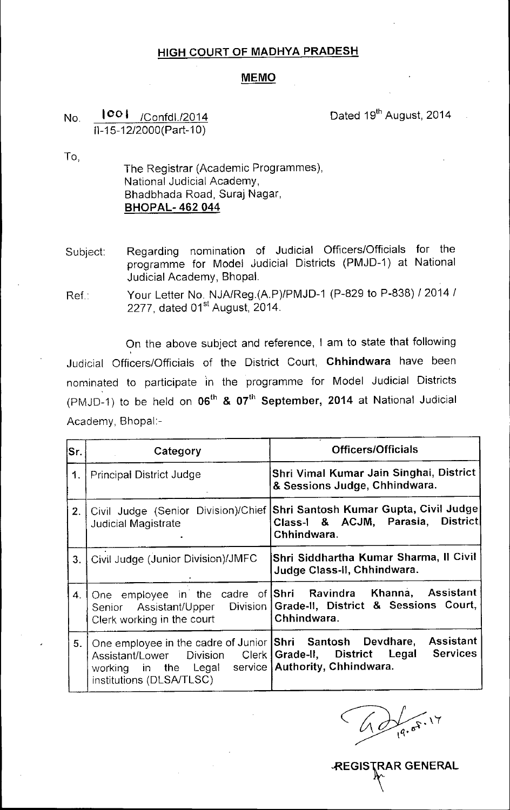## HIGH COURT OF MADHYA PRADESH

## **MEMO**

## No. <sup>100</sup> I /Confd1./2014 1l-15-12/2000(Part-10)

Dated 19<sup>th</sup> August, 2014

To,

The Registrar (Academic Programmes), National Judicial Academy, Bhadbhada Road, Suraj Nagar, **BHOPAL-462044** 

Subject: Regarding nomination of Judicial Officers/Officials for the programme for Model Judicial Districts (PMJD-1) at National Judicial Academy, Bhopal.

Ref: Your Letter No NJA/Reg(A.P)/PMJD-1 (P-829 to P-838) / 2014 / 2277, dated 01<sup>st</sup> August, 2014.

On the above subject and reference, I am to state that following Judicial Officers/Officials of the District Court, Chhindwara have been nominated to participate in the programme for Model Judicial Districts (PMJD-1) to be held on  $06^{\text{th}}$  &  $07^{\text{th}}$  September, 2014 at National Judicial Academy, Bhopal:-

| lSr. | Category                                                                                                                                                                                                   | <b>Officers/Officials</b>                                                                                                                             |
|------|------------------------------------------------------------------------------------------------------------------------------------------------------------------------------------------------------------|-------------------------------------------------------------------------------------------------------------------------------------------------------|
| 1.   | <b>Principal District Judge</b>                                                                                                                                                                            | Shri Vimal Kumar Jain Singhai, District<br>& Sessions Judge, Chhindwara.                                                                              |
| 2.   | Civil Judge (Senior Division)/Chief<br><b>Judicial Magistrate</b>                                                                                                                                          | Shri Santosh Kumar Gupta, Civil Judge <br>Class-I & ACJM, Parasia, District<br>Chhindwara.                                                            |
| 3.   | Civil Judge (Junior Division)/JMFC                                                                                                                                                                         | Shri Siddhartha Kumar Sharma, Il Civil<br>Judge Class-II, Chhindwara.                                                                                 |
| 4.   | Clerk working in the court                                                                                                                                                                                 | One employee in the cadre of Shri Ravindra Khanna, Assistant<br>Senior Assistant/Upper Division   Grade-II, District & Sessions Court,<br>Chhindwara. |
| 5.   | One employee in the cadre of Junior Shri Santosh Devdhare,<br>Assistant/Lower Division Clerk   Grade-II, District Legal<br>working in the Legal service Authority, Chhindwara.<br>institutions (DLSA/TLSC) | <b>Assistant</b><br><b>Services</b>                                                                                                                   |

**REGISTRAR GENERAL**